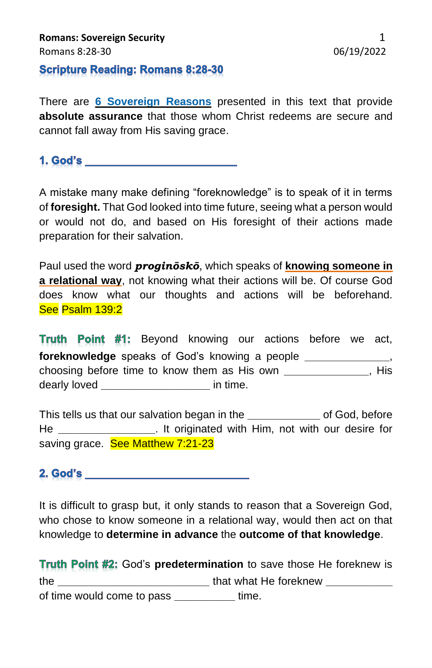## **Scripture Reading: Romans 8:28-30**

There are **6 Sovereign Reasons** presented in this text that provide **absolute assurance** that those whom Christ redeems are secure and cannot fall away from His saving grace.

**1. God's and a contract of the contract of the contract of the contract of the contract of the contract of the contract of the contract of the contract of the contract of the contract of the contract of the contract of th** 

A mistake many make defining "foreknowledge" is to speak of it in terms of **foresight.** That God looked into time future, seeing what a person would or would not do, and based on His foresight of their actions made preparation for their salvation.

Paul used the word *proginōskō*, which speaks of **knowing someone in a relational way**, not knowing what their actions will be. Of course God does know what our thoughts and actions will be beforehand. See Psalm 139:2

**Truth Point #1:** Beyond knowing our actions before we act, **foreknowledge** speaks of God's knowing a people **\_\_\_\_\_\_\_\_\_\_\_\_\_\_**, choosing before time to know them as His own **\_\_\_\_\_\_\_\_\_\_\_\_\_\_**, His dearly loved **\_\_\_\_\_\_\_\_\_\_\_\_\_\_\_\_\_\_** in time.

This tells us that our salvation began in the **\_\_\_\_\_\_\_\_\_\_\_\_** of God, before He **\_\_\_\_\_\_\_\_\_\_\_\_\_\_\_\_**. It originated with Him, not with our desire for saving grace. See Matthew 7:21-23

**2. God's and a series of the contract of the contract of the contract of the contract of the contract of the contract of the contract of the contract of the contract of the contract of the contract of the contract of the** 

It is difficult to grasp but, it only stands to reason that a Sovereign God, who chose to know someone in a relational way, would then act on that knowledge to **determine in advance** the **outcome of that knowledge**.

**Truth Point #2:** God's predetermination to save those He foreknew is the **\_\_\_\_\_\_\_\_\_\_\_\_\_\_\_\_\_\_\_\_\_\_\_\_\_** that what He foreknew **\_\_\_\_\_\_\_\_\_\_\_** of time would come to pass **\_\_\_\_\_\_\_\_\_\_** time.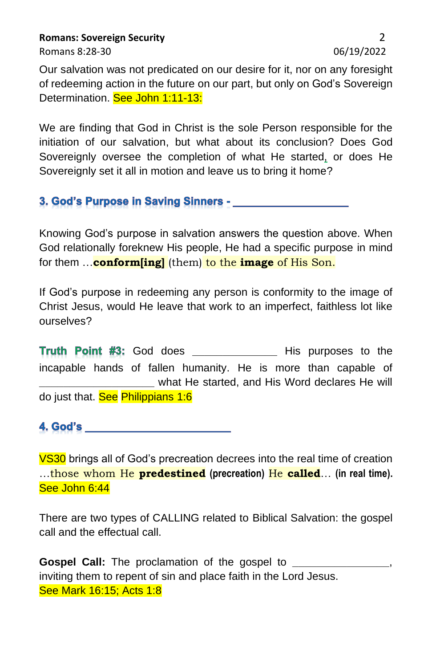**Romans: Sovereign Security** 2

Romans 8:28-30 06/19/2022

Our salvation was not predicated on our desire for it, nor on any foresight of redeeming action in the future on our part, but only on God's Sovereign Determination. See John 1:11-13:

We are finding that God in Christ is the sole Person responsible for the initiation of our salvation, but what about its conclusion? Does God Sovereignly oversee the completion of what He started, or does He Sovereignly set it all in motion and leave us to bring it home?

3. God's Purpose in Saving Sinners - Charles Contains

Knowing God's purpose in salvation answers the question above. When God relationally foreknew His people, He had a specific purpose in mind for them …**conform[ing]** (them) to the **image** of His Son.

If God's purpose in redeeming any person is conformity to the image of Christ Jesus, would He leave that work to an imperfect, faithless lot like ourselves?

Truth Point #3: God does \_\_\_\_\_\_\_\_\_\_\_\_\_\_\_ His purposes to the incapable hands of fallen humanity. He is more than capable of **\_\_\_\_\_\_\_\_\_\_\_\_\_\_\_\_\_\_\_** what He started, and His Word declares He will do just that. See Philippians 1:6

4. God's

**VS30** brings all of God's precreation decrees into the real time of creation …those whom He **predestined (precreation)** He **called**… **(in real time).**  See John 6:44

There are two types of CALLING related to Biblical Salvation: the gospel call and the effectual call.

**Gospel Call:** The proclamation of the gospel to inviting them to repent of sin and place faith in the Lord Jesus. See Mark 16:15; Acts 1:8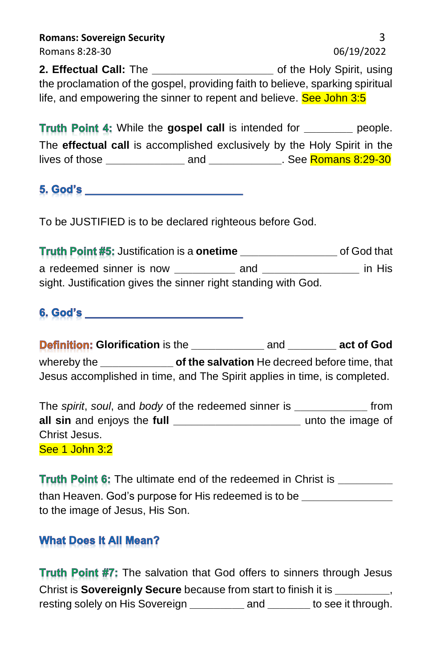| <b>Romans: Sovereign Security</b>                                              |                           |
|--------------------------------------------------------------------------------|---------------------------|
| Romans 8:28-30                                                                 | 06/19/2022                |
| 2. Effectual Call: The                                                         | of the Holy Spirit, using |
| the proclamation of the gospel, providing faith to believe, sparking spiritual |                           |
| life, and empowering the sinner to repent and believe. See John 3:5            |                           |

**Truth Point 4:** While the gospel call is intended for **\_\_\_\_\_\_\_** people. The **effectual call** is accomplished exclusively by the Holy Spirit in the lives of those **\_\_\_\_\_\_\_\_\_\_\_\_\_** and **\_\_\_\_\_\_\_\_\_\_\_\_**. See Romans 8:29-30

**5. God's and the contract of the contract of the contract of the contract of the contract of the contract of th** 

To be JUSTIFIED is to be declared righteous before God.

**Truth Point #5:** Justification is a **onetime** \_\_\_\_\_\_\_\_\_\_\_\_\_\_\_\_\_\_\_\_\_ of God that a redeemed sinner is now **\_\_\_\_\_\_\_\_\_\_** and **\_\_\_\_\_\_\_\_\_\_\_\_\_\_\_\_** in His sight. Justification gives the sinner right standing with God.

**6. God's and a set of the set of the set of the set of the set of the set of the set of the set of the set of the set of the set of the set of the set of the set of the set of the set of the set of the set of the set of t** 

**Definition:** Glorification is the **and act of God** whereby the **\_\_\_\_\_\_\_\_\_\_\_\_ of the salvation** He decreed before time, that Jesus accomplished in time, and The Spirit applies in time, is completed.

The *spirit*, *soul*, and *body* of the redeemed sinner is **\_\_\_\_\_\_\_\_\_\_\_\_** from **all sin** and enjoys the **full \_\_\_\_\_\_\_\_\_\_\_\_\_\_\_\_\_\_\_\_\_** unto the image of Christ Jesus. See 1 John 3:2

Truth Point 6: The ultimate end of the redeemed in Christ is \_\_\_\_\_\_\_\_\_\_ than Heaven. God's purpose for His redeemed is to be **\_\_\_\_\_\_\_\_\_\_\_\_\_\_\_** to the image of Jesus, His Son.

## **What Does It All Mean?**

**Truth Point #7:** The salvation that God offers to sinners through Jesus Christ is **Sovereignly Secure** because from start to finish it is **\_\_\_\_\_\_\_\_\_**, resting solely on His Sovereign **\_\_\_\_\_\_\_\_\_** and **\_\_\_\_\_\_\_** to see it through.